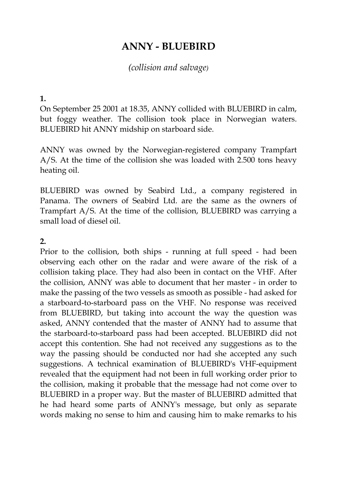# **ANNY - BLUEBIRD**

# *(collision and salvage)*

#### **1.**

On September 25 2001 at 18.35, ANNY collided with BLUEBIRD in calm, but foggy weather. The collision took place in Norwegian waters. BLUEBIRD hit ANNY midship on starboard side.

ANNY was owned by the Norwegian-registered company Trampfart A/S. At the time of the collision she was loaded with 2.500 tons heavy heating oil.

BLUEBIRD was owned by Seabird Ltd., a company registered in Panama. The owners of Seabird Ltd. are the same as the owners of Trampfart A/S. At the time of the collision, BLUEBIRD was carrying a small load of diesel oil.

### **2.**

Prior to the collision, both ships - running at full speed - had been observing each other on the radar and were aware of the risk of a collision taking place. They had also been in contact on the VHF. After the collision, ANNY was able to document that her master - in order to make the passing of the two vessels as smooth as possible - had asked for a starboard-to-starboard pass on the VHF. No response was received from BLUEBIRD, but taking into account the way the question was asked, ANNY contended that the master of ANNY had to assume that the starboard-to-starboard pass had been accepted. BLUEBIRD did not accept this contention. She had not received any suggestions as to the way the passing should be conducted nor had she accepted any such suggestions. A technical examination of BLUEBIRD's VHF-equipment revealed that the equipment had not been in full working order prior to the collision, making it probable that the message had not come over to BLUEBIRD in a proper way. But the master of BLUEBIRD admitted that he had heard some parts of ANNY's message, but only as separate words making no sense to him and causing him to make remarks to his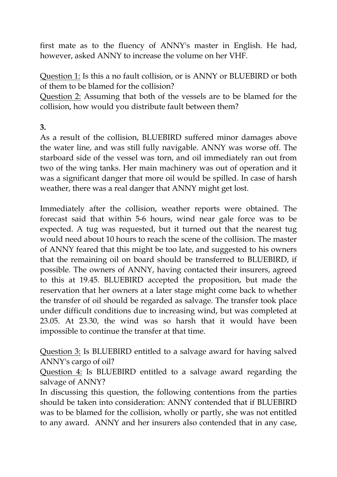first mate as to the fluency of ANNY's master in English. He had, however, asked ANNY to increase the volume on her VHF.

Question 1: Is this a no fault collision, or is ANNY or BLUEBIRD or both of them to be blamed for the collision?

Question 2: Assuming that both of the vessels are to be blamed for the collision, how would you distribute fault between them?

**3.**

As a result of the collision, BLUEBIRD suffered minor damages above the water line, and was still fully navigable. ANNY was worse off. The starboard side of the vessel was torn, and oil immediately ran out from two of the wing tanks. Her main machinery was out of operation and it was a significant danger that more oil would be spilled. In case of harsh weather, there was a real danger that ANNY might get lost.

Immediately after the collision, weather reports were obtained. The forecast said that within 5-6 hours, wind near gale force was to be expected. A tug was requested, but it turned out that the nearest tug would need about 10 hours to reach the scene of the collision. The master of ANNY feared that this might be too late, and suggested to his owners that the remaining oil on board should be transferred to BLUEBIRD, if possible. The owners of ANNY, having contacted their insurers, agreed to this at 19.45. BLUEBIRD accepted the proposition, but made the reservation that her owners at a later stage might come back to whether the transfer of oil should be regarded as salvage. The transfer took place under difficult conditions due to increasing wind, but was completed at 23.05. At 23.30, the wind was so harsh that it would have been impossible to continue the transfer at that time.

Question 3: Is BLUEBIRD entitled to a salvage award for having salved ANNY's cargo of oil?

Question 4: Is BLUEBIRD entitled to a salvage award regarding the salvage of ANNY?

In discussing this question, the following contentions from the parties should be taken into consideration: ANNY contended that if BLUEBIRD was to be blamed for the collision, wholly or partly, she was not entitled to any award. ANNY and her insurers also contended that in any case,